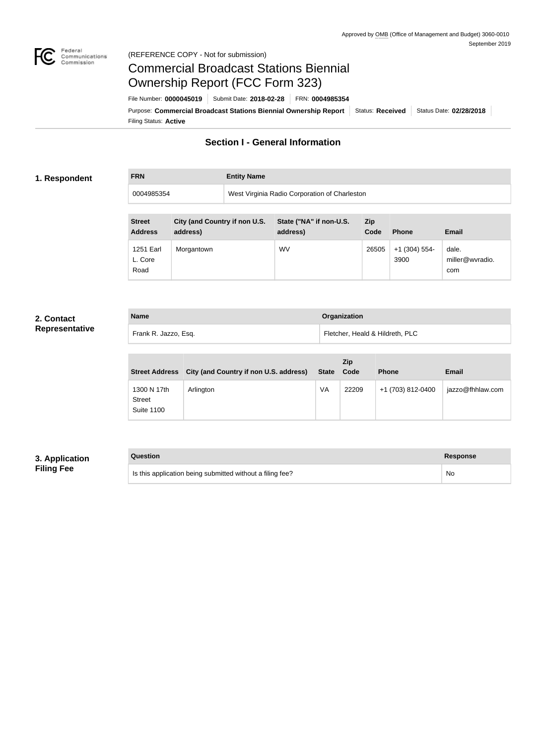

### Federal<br>Communications<br>Commission (REFERENCE COPY - Not for submission)

# Commercial Broadcast Stations Biennial Ownership Report (FCC Form 323)

Filing Status: **Active** Purpose: Commercial Broadcast Stations Biennial Ownership Report Status: Received Status Date: 02/28/2018 File Number: **0000045019** Submit Date: **2018-02-28** FRN: **0004985354**

# **Section I - General Information**

### **1. Respondent**

**FRN Entity Name**

0004985354 West Virginia Radio Corporation of Charleston

| <b>Street</b><br><b>Address</b> | City (and Country if non U.S.<br>address) | State ("NA" if non-U.S.<br>address) | Zip<br>Code | <b>Phone</b>            | <b>Email</b>                    |
|---------------------------------|-------------------------------------------|-------------------------------------|-------------|-------------------------|---------------------------------|
| 1251 Earl<br>L. Core<br>Road    | Morgantown                                | <b>WV</b>                           | 26505       | $+1$ (304) 554-<br>3900 | dale.<br>miller@wvradio.<br>com |

## **2. Contact Representative**

| <b>Name</b>          | <b>Organization</b>             |
|----------------------|---------------------------------|
| Frank R. Jazzo, Esq. | Fletcher, Heald & Hildreth, PLC |

| <b>Street Address</b>                             | City (and Country if non U.S. address) | <b>State</b> | <b>Zip</b><br>Code | <b>Phone</b>      | <b>Email</b>     |
|---------------------------------------------------|----------------------------------------|--------------|--------------------|-------------------|------------------|
| 1300 N 17th<br><b>Street</b><br><b>Suite 1100</b> | Arlington                              | VA           | 22209              | +1 (703) 812-0400 | jazzo@fhhlaw.com |

## **3. Application Filing Fee**

| Question                                                  | Response |
|-----------------------------------------------------------|----------|
| Is this application being submitted without a filing fee? | No       |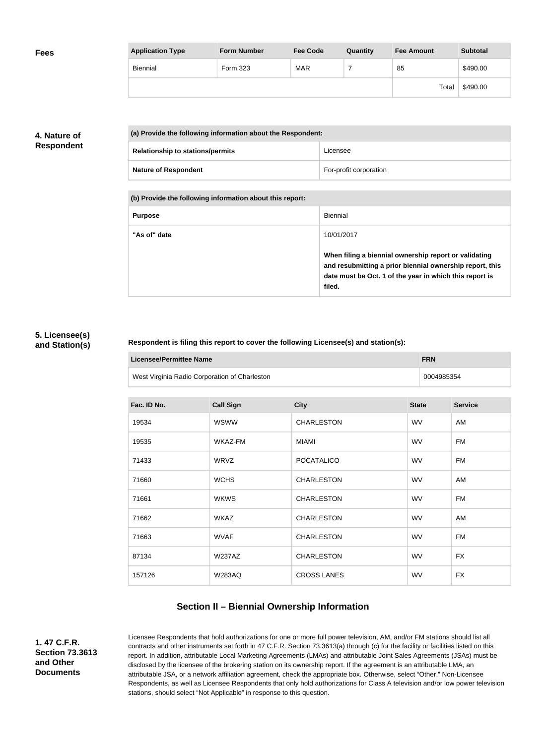| <b>Fees</b> | <b>Application Type</b> | <b>Form Number</b> | <b>Fee Code</b> | Quantity | <b>Fee Amount</b> | <b>Subtotal</b> |
|-------------|-------------------------|--------------------|-----------------|----------|-------------------|-----------------|
|             | Biennial                | Form 323           | MAR             |          | 85                | \$490.00        |
|             |                         |                    |                 |          | Total             | \$490.00        |

## **4. Nature of Respondent**

| (a) Provide the following information about the Respondent: |                        |  |
|-------------------------------------------------------------|------------------------|--|
| <b>Relationship to stations/permits</b>                     | Licensee               |  |
| <b>Nature of Respondent</b>                                 | For-profit corporation |  |

**(b) Provide the following information about this report:**

| <b>Purpose</b> | Biennial                                                                                                                                                                               |
|----------------|----------------------------------------------------------------------------------------------------------------------------------------------------------------------------------------|
| "As of" date   | 10/01/2017                                                                                                                                                                             |
|                | When filing a biennial ownership report or validating<br>and resubmitting a prior biennial ownership report, this<br>date must be Oct. 1 of the year in which this report is<br>filed. |

### **5. Licensee(s) and Station(s)**

### **Respondent is filing this report to cover the following Licensee(s) and station(s):**

| Licensee/Permittee Name                       | <b>FRN</b> |
|-----------------------------------------------|------------|
| West Virginia Radio Corporation of Charleston | 0004985354 |

| Fac. ID No. | <b>Call Sign</b> | <b>City</b>        | <b>State</b> | <b>Service</b> |
|-------------|------------------|--------------------|--------------|----------------|
| 19534       | <b>WSWW</b>      | <b>CHARLESTON</b>  | <b>WV</b>    | AM             |
| 19535       | WKAZ-FM          | MIAMI              | <b>WV</b>    | FM             |
| 71433       | WRVZ             | <b>POCATALICO</b>  | <b>WV</b>    | FM             |
| 71660       | <b>WCHS</b>      | <b>CHARLESTON</b>  | <b>WV</b>    | AM             |
| 71661       | <b>WKWS</b>      | <b>CHARLESTON</b>  | <b>WV</b>    | FM             |
| 71662       | <b>WKAZ</b>      | <b>CHARLESTON</b>  | <b>WV</b>    | AM             |
| 71663       | <b>WVAF</b>      | <b>CHARLESTON</b>  | <b>WV</b>    | FM             |
| 87134       | <b>W237AZ</b>    | <b>CHARLESTON</b>  | <b>WV</b>    | <b>FX</b>      |
| 157126      | <b>W283AQ</b>    | <b>CROSS LANES</b> | <b>WV</b>    | <b>FX</b>      |

## **Section II – Biennial Ownership Information**

**1. 47 C.F.R. Section 73.3613 and Other Documents**

Licensee Respondents that hold authorizations for one or more full power television, AM, and/or FM stations should list all contracts and other instruments set forth in 47 C.F.R. Section 73.3613(a) through (c) for the facility or facilities listed on this report. In addition, attributable Local Marketing Agreements (LMAs) and attributable Joint Sales Agreements (JSAs) must be disclosed by the licensee of the brokering station on its ownership report. If the agreement is an attributable LMA, an attributable JSA, or a network affiliation agreement, check the appropriate box. Otherwise, select "Other." Non-Licensee Respondents, as well as Licensee Respondents that only hold authorizations for Class A television and/or low power television stations, should select "Not Applicable" in response to this question.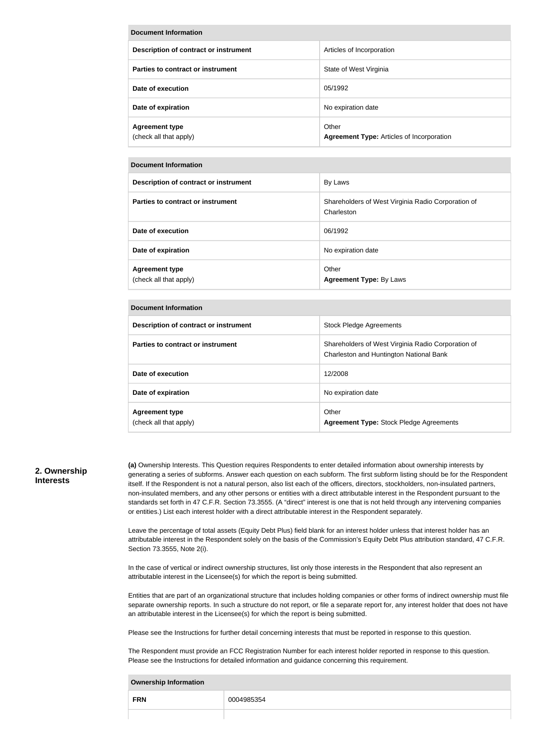| Document Information                            |                                                           |  |
|-------------------------------------------------|-----------------------------------------------------------|--|
| Description of contract or instrument           | Articles of Incorporation                                 |  |
| Parties to contract or instrument               | State of West Virginia                                    |  |
| Date of execution                               | 05/1992                                                   |  |
| Date of expiration                              | No expiration date                                        |  |
| <b>Agreement type</b><br>(check all that apply) | Other<br><b>Agreement Type: Articles of Incorporation</b> |  |

### **Document Information**

| Description of contract or instrument           | By Laws                                                          |
|-------------------------------------------------|------------------------------------------------------------------|
| Parties to contract or instrument               | Shareholders of West Virginia Radio Corporation of<br>Charleston |
| Date of execution                               | 06/1992                                                          |
| Date of expiration                              | No expiration date                                               |
| <b>Agreement type</b><br>(check all that apply) | Other<br><b>Agreement Type: By Laws</b>                          |

#### **Document Information**

| Description of contract or instrument           | <b>Stock Pledge Agreements</b>                                                                |
|-------------------------------------------------|-----------------------------------------------------------------------------------------------|
| Parties to contract or instrument               | Shareholders of West Virginia Radio Corporation of<br>Charleston and Huntington National Bank |
| Date of execution                               | 12/2008                                                                                       |
| Date of expiration                              | No expiration date                                                                            |
| <b>Agreement type</b><br>(check all that apply) | Other<br><b>Agreement Type: Stock Pledge Agreements</b>                                       |

### **2. Ownership Interests**

**(a)** Ownership Interests. This Question requires Respondents to enter detailed information about ownership interests by generating a series of subforms. Answer each question on each subform. The first subform listing should be for the Respondent itself. If the Respondent is not a natural person, also list each of the officers, directors, stockholders, non-insulated partners, non-insulated members, and any other persons or entities with a direct attributable interest in the Respondent pursuant to the standards set forth in 47 C.F.R. Section 73.3555. (A "direct" interest is one that is not held through any intervening companies or entities.) List each interest holder with a direct attributable interest in the Respondent separately.

Leave the percentage of total assets (Equity Debt Plus) field blank for an interest holder unless that interest holder has an attributable interest in the Respondent solely on the basis of the Commission's Equity Debt Plus attribution standard, 47 C.F.R. Section 73.3555, Note 2(i).

In the case of vertical or indirect ownership structures, list only those interests in the Respondent that also represent an attributable interest in the Licensee(s) for which the report is being submitted.

Entities that are part of an organizational structure that includes holding companies or other forms of indirect ownership must file separate ownership reports. In such a structure do not report, or file a separate report for, any interest holder that does not have an attributable interest in the Licensee(s) for which the report is being submitted.

Please see the Instructions for further detail concerning interests that must be reported in response to this question.

The Respondent must provide an FCC Registration Number for each interest holder reported in response to this question. Please see the Instructions for detailed information and guidance concerning this requirement.

| <b>Ownership Information</b> |            |  |
|------------------------------|------------|--|
| <b>FRN</b>                   | 0004985354 |  |
|                              |            |  |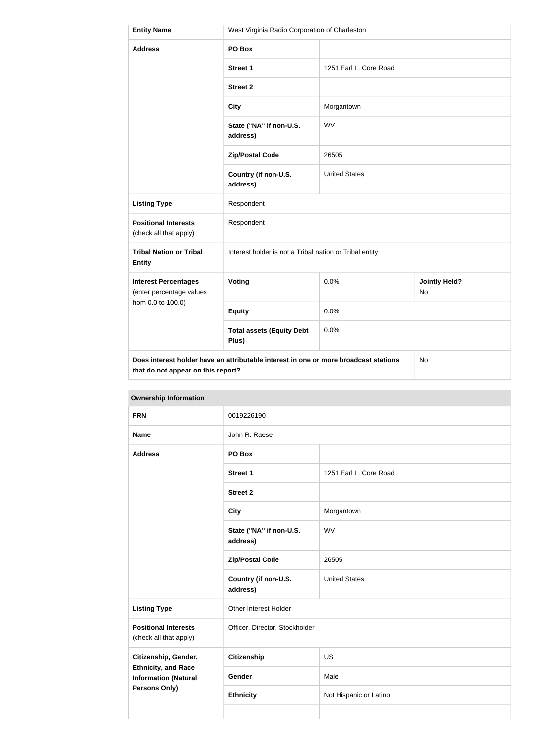| <b>Entity Name</b>                                                                                                               | West Virginia Radio Corporation of Charleston           |                        |                                   |
|----------------------------------------------------------------------------------------------------------------------------------|---------------------------------------------------------|------------------------|-----------------------------------|
| <b>Address</b>                                                                                                                   | PO Box                                                  |                        |                                   |
|                                                                                                                                  | <b>Street 1</b>                                         | 1251 Earl L. Core Road |                                   |
|                                                                                                                                  | <b>Street 2</b>                                         |                        |                                   |
|                                                                                                                                  | <b>City</b>                                             | Morgantown             |                                   |
|                                                                                                                                  | State ("NA" if non-U.S.<br>address)                     | <b>WV</b>              |                                   |
|                                                                                                                                  | <b>Zip/Postal Code</b>                                  | 26505                  |                                   |
|                                                                                                                                  | Country (if non-U.S.<br>address)                        | <b>United States</b>   |                                   |
| <b>Listing Type</b>                                                                                                              | Respondent                                              |                        |                                   |
| <b>Positional Interests</b><br>(check all that apply)                                                                            | Respondent                                              |                        |                                   |
| <b>Tribal Nation or Tribal</b><br><b>Entity</b>                                                                                  | Interest holder is not a Tribal nation or Tribal entity |                        |                                   |
| <b>Interest Percentages</b><br>(enter percentage values                                                                          | Voting                                                  | 0.0%                   | <b>Jointly Held?</b><br><b>No</b> |
| from 0.0 to 100.0)                                                                                                               | <b>Equity</b>                                           | 0.0%                   |                                   |
|                                                                                                                                  | <b>Total assets (Equity Debt</b><br>Plus)               | 0.0%                   |                                   |
| Does interest holder have an attributable interest in one or more broadcast stations<br>No<br>that do not appear on this report? |                                                         |                        |                                   |

|  | <b>Ownership Information</b> |                 |                      |
|--|------------------------------|-----------------|----------------------|
|  | <b>FRN</b>                   | 0019226190      |                      |
|  | <b>Name</b>                  | John R. Raese   |                      |
|  | <b>Address</b>               | PO Box          |                      |
|  |                              | <b>Street 1</b> | 1251 Earl L. Core Ro |
|  |                              | <b>Street 2</b> |                      |

| <b>Address</b>                                                             | PO Box                              |                        |
|----------------------------------------------------------------------------|-------------------------------------|------------------------|
|                                                                            | <b>Street 1</b>                     | 1251 Earl L. Core Road |
|                                                                            | <b>Street 2</b>                     |                        |
|                                                                            | <b>City</b>                         | Morgantown             |
|                                                                            | State ("NA" if non-U.S.<br>address) | <b>WV</b>              |
|                                                                            | <b>Zip/Postal Code</b>              | 26505                  |
|                                                                            | Country (if non-U.S.<br>address)    | <b>United States</b>   |
| <b>Listing Type</b>                                                        | Other Interest Holder               |                        |
| <b>Positional Interests</b><br>(check all that apply)                      | Officer, Director, Stockholder      |                        |
| Citizenship, Gender,                                                       | <b>Citizenship</b>                  | US                     |
| <b>Ethnicity, and Race</b><br><b>Information (Natural</b><br>Persons Only) | Gender                              | Male                   |
|                                                                            | <b>Ethnicity</b>                    | Not Hispanic or Latino |
|                                                                            |                                     |                        |
|                                                                            |                                     |                        |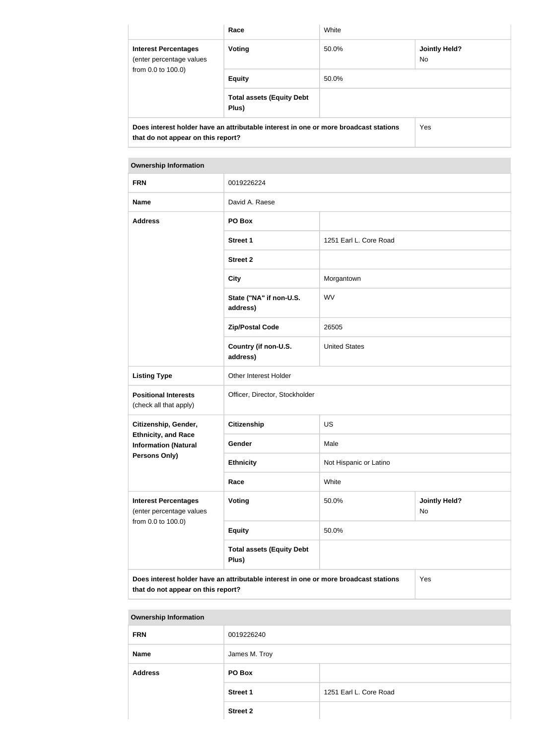|                                                                                                                            | Race                                      | White |                      |
|----------------------------------------------------------------------------------------------------------------------------|-------------------------------------------|-------|----------------------|
| <b>Interest Percentages</b><br>(enter percentage values<br>from 0.0 to 100.0)                                              | Voting                                    | 50.0% | Jointly Held?<br>No. |
|                                                                                                                            | <b>Equity</b>                             | 50.0% |                      |
|                                                                                                                            | <b>Total assets (Equity Debt</b><br>Plus) |       |                      |
| Does interest holder have an attributable interest in one or more broadcast stations<br>that do not appear on this report? |                                           |       | Yes                  |

# **Ownership Information FRN** 0019226224 **Name** David A. Raese **Address PO Box Street 1** 1251 Earl L. Core Road **Street 2 City** Morgantown **State ("NA" if non-U.S. address)** WV **Zip/Postal Code** 26505 **Country (if non-U.S. address)** United States

|                                                                                                           | Country (if non-U.S.<br>address) | <b>United States</b>   |                             |
|-----------------------------------------------------------------------------------------------------------|----------------------------------|------------------------|-----------------------------|
| <b>Listing Type</b>                                                                                       | Other Interest Holder            |                        |                             |
| <b>Positional Interests</b><br>(check all that apply)                                                     | Officer, Director, Stockholder   |                        |                             |
| Citizenship, Gender,<br><b>Ethnicity, and Race</b><br><b>Information (Natural</b><br><b>Persons Only)</b> | <b>Citizenship</b>               | <b>US</b>              |                             |
|                                                                                                           | Gender                           | Male                   |                             |
|                                                                                                           | <b>Ethnicity</b>                 | Not Hispanic or Latino |                             |
|                                                                                                           | Race                             | White                  |                             |
| <b>Interest Percentages</b><br>(enter percentage values                                                   | Voting                           | 50.0%                  | <b>Jointly Held?</b><br>No. |

| ontor poroomago varaoo |                                           |       | . |
|------------------------|-------------------------------------------|-------|---|
| from 0.0 to 100.0)     | <b>Equity</b>                             | 50.0% |   |
|                        | <b>Total assets (Equity Debt</b><br>Plus) |       |   |
|                        |                                           |       |   |

**Does interest holder have an attributable interest in one or more broadcast stations that do not appear on this report?**

# Yes

### **Ownership Information**

| <b>FRN</b>     | 0019226240      |                        |
|----------------|-----------------|------------------------|
| <b>Name</b>    | James M. Troy   |                        |
| <b>Address</b> | PO Box          |                        |
|                | <b>Street 1</b> | 1251 Earl L. Core Road |
|                | <b>Street 2</b> |                        |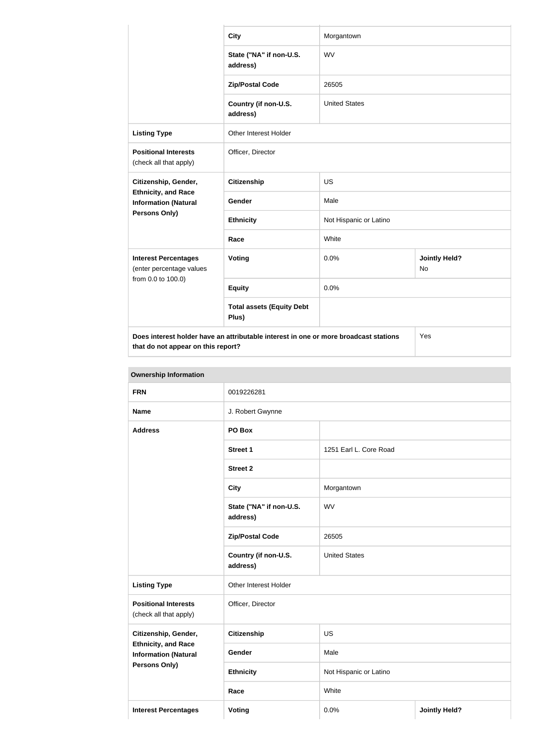|                                                                                                                                   | <b>City</b>                               | Morgantown             |                                   |
|-----------------------------------------------------------------------------------------------------------------------------------|-------------------------------------------|------------------------|-----------------------------------|
|                                                                                                                                   | State ("NA" if non-U.S.<br>address)       | <b>WV</b>              |                                   |
|                                                                                                                                   | <b>Zip/Postal Code</b>                    | 26505                  |                                   |
|                                                                                                                                   | Country (if non-U.S.<br>address)          | <b>United States</b>   |                                   |
| <b>Listing Type</b>                                                                                                               | Other Interest Holder                     |                        |                                   |
| <b>Positional Interests</b><br>(check all that apply)                                                                             | Officer, Director                         |                        |                                   |
| Citizenship, Gender,                                                                                                              | <b>Citizenship</b>                        | <b>US</b>              |                                   |
| <b>Ethnicity, and Race</b><br><b>Information (Natural</b>                                                                         | Gender                                    | Male                   |                                   |
| Persons Only)                                                                                                                     | <b>Ethnicity</b>                          | Not Hispanic or Latino |                                   |
|                                                                                                                                   | Race                                      | White                  |                                   |
| <b>Interest Percentages</b><br>(enter percentage values<br>from 0.0 to 100.0)                                                     | Voting                                    | 0.0%                   | <b>Jointly Held?</b><br><b>No</b> |
|                                                                                                                                   | <b>Equity</b>                             | 0.0%                   |                                   |
|                                                                                                                                   | <b>Total assets (Equity Debt</b><br>Plus) |                        |                                   |
| Does interest holder have an attributable interest in one or more broadcast stations<br>Yes<br>that do not appear on this report? |                                           |                        |                                   |

| Ownership information                                                      |                                     |                        |                      |
|----------------------------------------------------------------------------|-------------------------------------|------------------------|----------------------|
| <b>FRN</b>                                                                 | 0019226281                          |                        |                      |
| <b>Name</b>                                                                | J. Robert Gwynne                    |                        |                      |
| <b>Address</b>                                                             | PO Box                              |                        |                      |
|                                                                            | <b>Street 1</b>                     | 1251 Earl L. Core Road |                      |
|                                                                            | <b>Street 2</b>                     |                        |                      |
|                                                                            | <b>City</b>                         | Morgantown             |                      |
|                                                                            | State ("NA" if non-U.S.<br>address) | <b>WV</b>              |                      |
|                                                                            | <b>Zip/Postal Code</b>              | 26505                  |                      |
|                                                                            | Country (if non-U.S.<br>address)    | <b>United States</b>   |                      |
| <b>Listing Type</b>                                                        | Other Interest Holder               |                        |                      |
| <b>Positional Interests</b><br>(check all that apply)                      | Officer, Director                   |                        |                      |
| Citizenship, Gender,                                                       | <b>Citizenship</b>                  | US                     |                      |
| <b>Ethnicity, and Race</b><br><b>Information (Natural</b><br>Persons Only) | Gender                              | Male                   |                      |
|                                                                            | <b>Ethnicity</b>                    | Not Hispanic or Latino |                      |
|                                                                            | Race                                | White                  |                      |
| <b>Interest Percentages</b>                                                | <b>Voting</b>                       | 0.0%                   | <b>Jointly Held?</b> |

## **Ownership Information**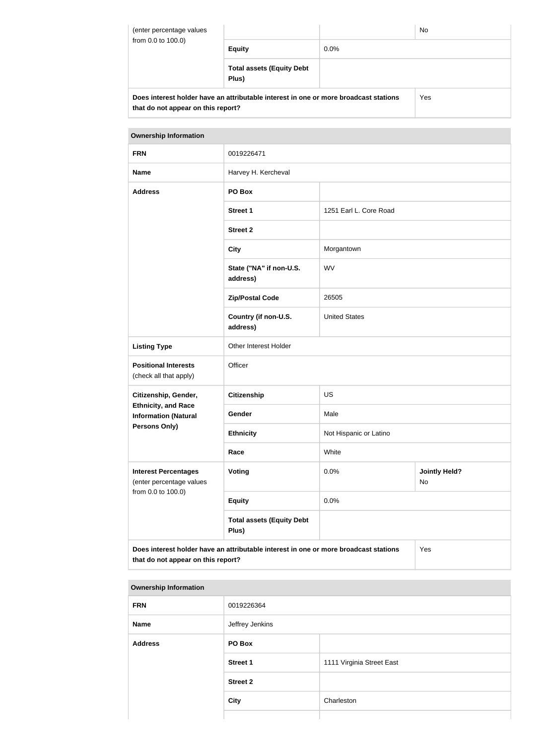| (enter percentage values<br>from 0.0 to 100.0)                                                                             |                                           |         | <b>No</b> |
|----------------------------------------------------------------------------------------------------------------------------|-------------------------------------------|---------|-----------|
|                                                                                                                            | <b>Equity</b>                             | $0.0\%$ |           |
|                                                                                                                            | <b>Total assets (Equity Debt</b><br>Plus) |         |           |
| Does interest holder have an attributable interest in one or more broadcast stations<br>that do not appear on this report? |                                           | Yes     |           |

# **Ownership Information FRN** 0019226471 Name **Name** Harvey H. Kercheval **Address PO Box Street 1** 1251 Earl L. Core Road **Street 2 City** Morgantown **State ("NA" if non-U.S. address)** WV **Zip/Postal Code** 26505 **Country (if non-U.S. address)** United States Listing Type **CE** Other Interest Holder **Positional Interests** (check all that apply) **Officer Citizenship, Gender, Ethnicity, and Race Information (Natural Persons Only) Citizenship** US Gender Male **Ethnicity** Not Hispanic or Latino **Race** White **Interest Percentages** (enter percentage values from 0.0 to 100.0) **Voting Voting Jointly Held?** No **Equity** 0.0% **Total assets (Equity Debt Plus) Does interest holder have an attributable interest in one or more broadcast stations**  Yes

**that do not appear on this report?**

| <b>Ownership Information</b> |                 |                           |
|------------------------------|-----------------|---------------------------|
| <b>FRN</b>                   | 0019226364      |                           |
| <b>Name</b>                  | Jeffrey Jenkins |                           |
| <b>Address</b>               | PO Box          |                           |
|                              | <b>Street 1</b> | 1111 Virginia Street East |
|                              | <b>Street 2</b> |                           |
|                              | <b>City</b>     | Charleston                |
|                              |                 |                           |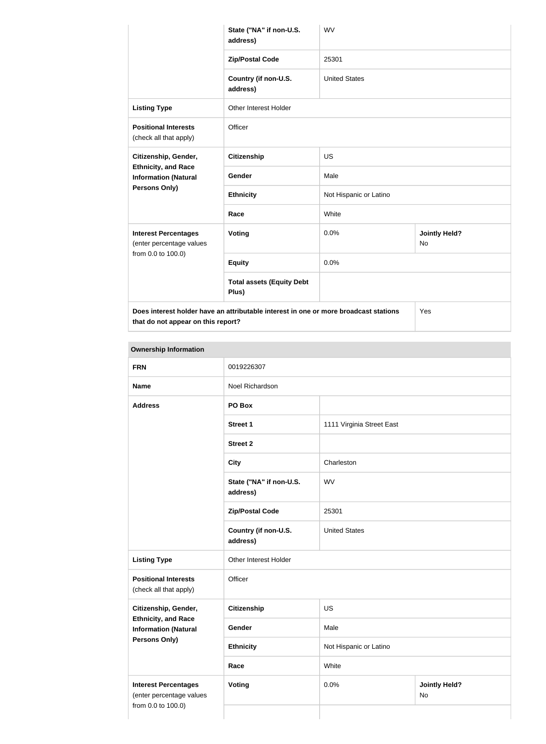|                                                           | State ("NA" if non-U.S.<br>address)                                                  | <b>WV</b>              |                                   |  |
|-----------------------------------------------------------|--------------------------------------------------------------------------------------|------------------------|-----------------------------------|--|
|                                                           | <b>Zip/Postal Code</b>                                                               | 25301                  |                                   |  |
|                                                           | Country (if non-U.S.<br>address)                                                     | <b>United States</b>   |                                   |  |
| <b>Listing Type</b>                                       | Other Interest Holder                                                                |                        |                                   |  |
| <b>Positional Interests</b><br>(check all that apply)     | Officer                                                                              |                        |                                   |  |
| Citizenship, Gender,                                      | <b>Citizenship</b>                                                                   | <b>US</b>              |                                   |  |
| <b>Ethnicity, and Race</b><br><b>Information (Natural</b> | Gender                                                                               | Male                   |                                   |  |
| <b>Persons Only)</b>                                      | <b>Ethnicity</b>                                                                     | Not Hispanic or Latino |                                   |  |
|                                                           | Race                                                                                 | White                  |                                   |  |
| <b>Interest Percentages</b><br>(enter percentage values   | Voting                                                                               | 0.0%                   | <b>Jointly Held?</b><br><b>No</b> |  |
| from 0.0 to 100.0)                                        | <b>Equity</b>                                                                        | 0.0%                   |                                   |  |
|                                                           | <b>Total assets (Equity Debt</b><br>Plus)                                            |                        |                                   |  |
|                                                           | Does interest holder have an attributable interest in one or more broadcast stations |                        | Yes                               |  |

**that do not appear on this report?**

| <b>FRN</b>                                                                    | 0019226307                          |                        |                            |  |
|-------------------------------------------------------------------------------|-------------------------------------|------------------------|----------------------------|--|
| <b>Name</b>                                                                   | Noel Richardson                     |                        |                            |  |
| PO Box<br><b>Address</b>                                                      |                                     |                        |                            |  |
|                                                                               | <b>Street 1</b>                     |                        | 1111 Virginia Street East  |  |
|                                                                               | <b>Street 2</b>                     |                        |                            |  |
|                                                                               | <b>City</b>                         | Charleston             |                            |  |
|                                                                               | State ("NA" if non-U.S.<br>address) | <b>WV</b>              |                            |  |
|                                                                               | <b>Zip/Postal Code</b>              | 25301                  |                            |  |
|                                                                               | Country (if non-U.S.<br>address)    | <b>United States</b>   |                            |  |
| <b>Listing Type</b>                                                           | Other Interest Holder               |                        |                            |  |
| <b>Positional Interests</b><br>(check all that apply)                         | Officer                             |                        |                            |  |
| Citizenship, Gender,                                                          | Citizenship                         | <b>US</b>              |                            |  |
| <b>Ethnicity, and Race</b><br><b>Information (Natural</b>                     | Gender                              | Male                   |                            |  |
| Persons Only)                                                                 | <b>Ethnicity</b>                    | Not Hispanic or Latino |                            |  |
|                                                                               | Race<br>White                       |                        |                            |  |
| <b>Interest Percentages</b><br>(enter percentage values<br>from 0.0 to 100.0) | <b>Voting</b>                       | 0.0%                   | <b>Jointly Held?</b><br>No |  |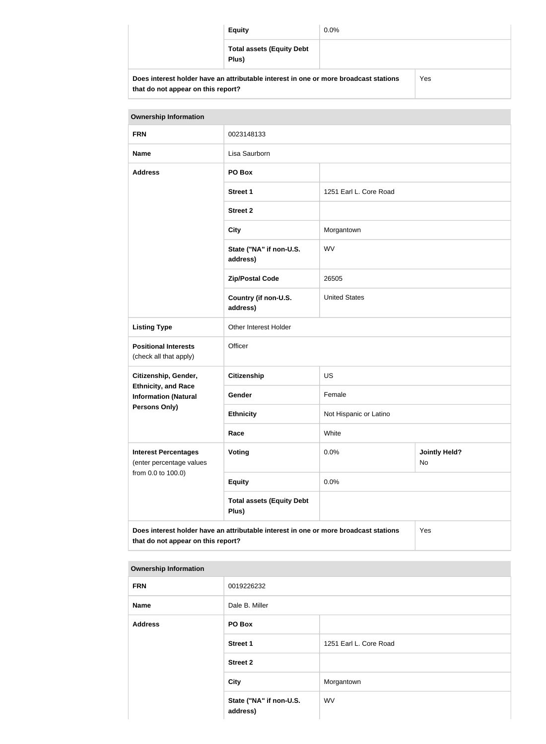|                                    | <b>Equity</b>                                                                        | $0.0\%$ |     |
|------------------------------------|--------------------------------------------------------------------------------------|---------|-----|
|                                    | <b>Total assets (Equity Debt</b><br>Plus)                                            |         |     |
| that do not appear on this report? | Does interest holder have an attributable interest in one or more broadcast stations |         | Yes |

| <b>Ownership Information</b>                              |                                                                                      |                        |                            |  |
|-----------------------------------------------------------|--------------------------------------------------------------------------------------|------------------------|----------------------------|--|
| <b>FRN</b>                                                | 0023148133                                                                           |                        |                            |  |
| <b>Name</b>                                               | Lisa Saurborn                                                                        |                        |                            |  |
| <b>Address</b>                                            | PO Box                                                                               |                        |                            |  |
|                                                           | <b>Street 1</b>                                                                      | 1251 Earl L. Core Road |                            |  |
|                                                           | <b>Street 2</b>                                                                      |                        |                            |  |
|                                                           | <b>City</b>                                                                          | Morgantown             |                            |  |
|                                                           | State ("NA" if non-U.S.<br>address)                                                  | <b>WV</b>              |                            |  |
|                                                           | <b>Zip/Postal Code</b>                                                               | 26505                  |                            |  |
|                                                           | Country (if non-U.S.<br>address)                                                     | <b>United States</b>   |                            |  |
| <b>Listing Type</b>                                       | <b>Other Interest Holder</b>                                                         |                        |                            |  |
| <b>Positional Interests</b><br>(check all that apply)     | Officer                                                                              |                        |                            |  |
| Citizenship, Gender,                                      | <b>Citizenship</b>                                                                   | <b>US</b>              |                            |  |
| <b>Ethnicity, and Race</b><br><b>Information (Natural</b> | Gender                                                                               | Female                 |                            |  |
| <b>Persons Only)</b>                                      | <b>Ethnicity</b>                                                                     | Not Hispanic or Latino |                            |  |
|                                                           | Race                                                                                 | White                  |                            |  |
| <b>Interest Percentages</b><br>(enter percentage values   | <b>Voting</b>                                                                        | 0.0%                   | <b>Jointly Held?</b><br>No |  |
| from 0.0 to 100.0)                                        | <b>Equity</b>                                                                        | 0.0%                   |                            |  |
|                                                           | <b>Total assets (Equity Debt</b><br>Plus)                                            |                        |                            |  |
| that do not appear on this report?                        | Does interest holder have an attributable interest in one or more broadcast stations |                        | Yes                        |  |

### **Ownership Information**

| <b>FRN</b>     | 0019226232                          |                        |
|----------------|-------------------------------------|------------------------|
| <b>Name</b>    | Dale B. Miller                      |                        |
| <b>Address</b> | PO Box                              |                        |
|                | <b>Street 1</b>                     | 1251 Earl L. Core Road |
|                | <b>Street 2</b>                     |                        |
|                | <b>City</b>                         | Morgantown             |
|                | State ("NA" if non-U.S.<br>address) | WV                     |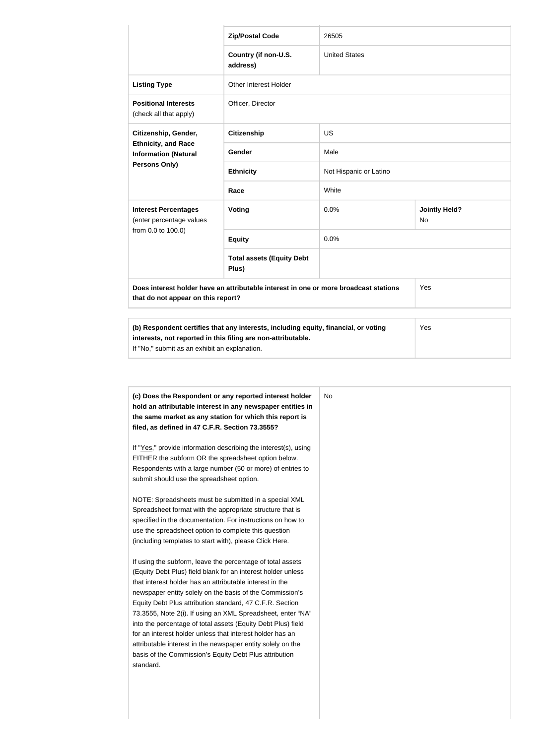|                                                           | <b>Zip/Postal Code</b>                                                               | 26505                  |                                   |  |
|-----------------------------------------------------------|--------------------------------------------------------------------------------------|------------------------|-----------------------------------|--|
|                                                           | Country (if non-U.S.<br>address)                                                     | <b>United States</b>   |                                   |  |
| <b>Listing Type</b>                                       | Other Interest Holder                                                                |                        |                                   |  |
| <b>Positional Interests</b><br>(check all that apply)     | Officer, Director                                                                    |                        |                                   |  |
| Citizenship, Gender,                                      | <b>Citizenship</b>                                                                   | <b>US</b>              |                                   |  |
| <b>Ethnicity, and Race</b><br><b>Information (Natural</b> | Gender                                                                               | Male                   |                                   |  |
| Persons Only)                                             | <b>Ethnicity</b>                                                                     | Not Hispanic or Latino |                                   |  |
|                                                           | Race                                                                                 | White                  |                                   |  |
| <b>Interest Percentages</b><br>(enter percentage values   | Voting                                                                               | 0.0%                   | <b>Jointly Held?</b><br><b>No</b> |  |
| from 0.0 to 100.0)                                        | <b>Equity</b>                                                                        | 0.0%                   |                                   |  |
|                                                           | <b>Total assets (Equity Debt</b><br>Plus)                                            |                        |                                   |  |
| that do not appear on this report?                        | Does interest holder have an attributable interest in one or more broadcast stations |                        | Yes                               |  |
|                                                           | (b) Pecpendent cortifies that any interacts including equity financial or vating     |                        | $V_{\Omega}$                      |  |

| (b) Respondent certifies that any interests, including equity, financial, or voting | Yes |
|-------------------------------------------------------------------------------------|-----|
| interests, not reported in this filing are non-attributable.                        |     |
| If "No," submit as an exhibit an explanation.                                       |     |
|                                                                                     |     |

| (c) Does the Respondent or any reported interest holder<br>hold an attributable interest in any newspaper entities in | No. |
|-----------------------------------------------------------------------------------------------------------------------|-----|
| the same market as any station for which this report is                                                               |     |
| filed, as defined in 47 C.F.R. Section 73.3555?                                                                       |     |
| If "Yes," provide information describing the interest(s), using                                                       |     |
| EITHER the subform OR the spreadsheet option below.                                                                   |     |
| Respondents with a large number (50 or more) of entries to                                                            |     |
| submit should use the spreadsheet option.                                                                             |     |
| NOTE: Spreadsheets must be submitted in a special XML                                                                 |     |
| Spreadsheet format with the appropriate structure that is                                                             |     |
| specified in the documentation. For instructions on how to                                                            |     |
| use the spreadsheet option to complete this question                                                                  |     |
| (including templates to start with), please Click Here.                                                               |     |
| If using the subform, leave the percentage of total assets                                                            |     |
| (Equity Debt Plus) field blank for an interest holder unless                                                          |     |
| that interest holder has an attributable interest in the                                                              |     |
| newspaper entity solely on the basis of the Commission's                                                              |     |
| Equity Debt Plus attribution standard, 47 C.F.R. Section                                                              |     |
| 73.3555, Note 2(i). If using an XML Spreadsheet, enter "NA"                                                           |     |
| into the percentage of total assets (Equity Debt Plus) field                                                          |     |
| for an interest holder unless that interest holder has an                                                             |     |
| attributable interest in the newspaper entity solely on the                                                           |     |
| basis of the Commission's Equity Debt Plus attribution                                                                |     |
| standard.                                                                                                             |     |
|                                                                                                                       |     |
|                                                                                                                       |     |
|                                                                                                                       |     |
|                                                                                                                       |     |
|                                                                                                                       |     |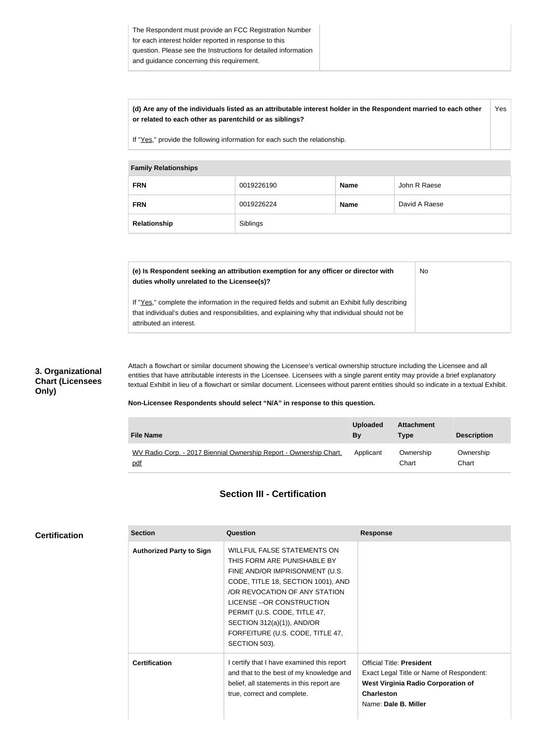#### **(d) Are any of the individuals listed as an attributable interest holder in the Respondent married to each other or related to each other as parentchild or as siblings?** Yes

If "Yes," provide the following information for each such the relationship.

### **Family Relationships**

| .            |            |             |               |
|--------------|------------|-------------|---------------|
| <b>FRN</b>   | 0019226190 | <b>Name</b> | John R Raese  |
| <b>FRN</b>   | 0019226224 | <b>Name</b> | David A Raese |
| Relationship | Siblings   |             |               |

| (e) Is Respondent seeking an attribution exemption for any officer or director with<br>duties wholly unrelated to the Licensee(s)?                                                                                             | <b>No</b> |
|--------------------------------------------------------------------------------------------------------------------------------------------------------------------------------------------------------------------------------|-----------|
| If "Yes," complete the information in the required fields and submit an Exhibit fully describing<br>that individual's duties and responsibilities, and explaining why that individual should not be<br>attributed an interest. |           |

### **3. Organizational Chart (Licensees Only)**

Attach a flowchart or similar document showing the Licensee's vertical ownership structure including the Licensee and all entities that have attributable interests in the Licensee. Licensees with a single parent entity may provide a brief explanatory textual Exhibit in lieu of a flowchart or similar document. Licensees without parent entities should so indicate in a textual Exhibit.

### **Non-Licensee Respondents should select "N/A" in response to this question.**

| <b>File Name</b>                                                   | <b>Uploaded</b><br>By | <b>Attachment</b><br>Type | <b>Description</b> |
|--------------------------------------------------------------------|-----------------------|---------------------------|--------------------|
| WV Radio Corp. - 2017 Biennial Ownership Report - Ownership Chart. | Applicant             | Ownership                 | Ownership          |
| pdf                                                                |                       | Chart                     | Chart              |

### **Section III - Certification**

| <b>Section</b>                  | Question                                                                                                                                                                                                                                                                                                                | <b>Response</b>                                                                                                                                                        |
|---------------------------------|-------------------------------------------------------------------------------------------------------------------------------------------------------------------------------------------------------------------------------------------------------------------------------------------------------------------------|------------------------------------------------------------------------------------------------------------------------------------------------------------------------|
| <b>Authorized Party to Sign</b> | WILLFUL FALSE STATEMENTS ON<br>THIS FORM ARE PUNISHABLE BY<br>FINE AND/OR IMPRISONMENT (U.S.<br>CODE, TITLE 18, SECTION 1001), AND<br>/OR REVOCATION OF ANY STATION<br>LICENSE -- OR CONSTRUCTION<br>PERMIT (U.S. CODE, TITLE 47,<br>SECTION $312(a)(1)$ ), AND/OR<br>FORFEITURE (U.S. CODE, TITLE 47,<br>SECTION 503). |                                                                                                                                                                        |
| <b>Certification</b>            | I certify that I have examined this report<br>and that to the best of my knowledge and<br>belief, all statements in this report are<br>true, correct and complete.                                                                                                                                                      | <b>Official Title: President</b><br>Exact Legal Title or Name of Respondent:<br><b>West Virginia Radio Corporation of</b><br><b>Charleston</b><br>Name: Dale B. Miller |

### **Certification**